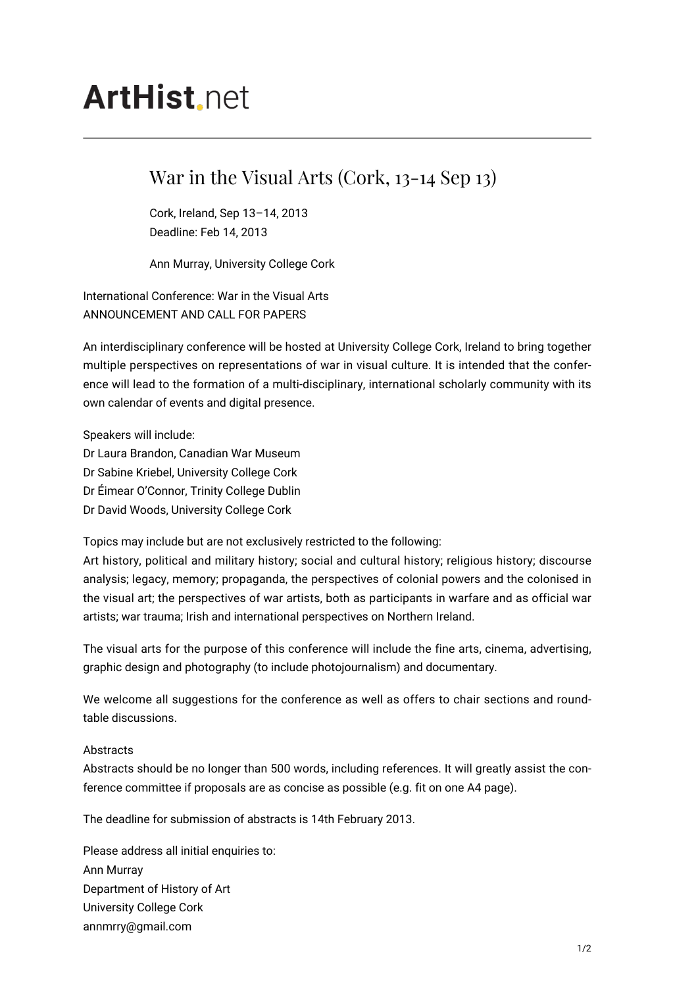## **ArtHist** net

## War in the Visual Arts (Cork, 13-14 Sep 13)

Cork, Ireland, Sep 13–14, 2013 Deadline: Feb 14, 2013

Ann Murray, University College Cork

International Conference: War in the Visual Arts ANNOUNCEMENT AND CALL FOR PAPERS

An interdisciplinary conference will be hosted at University College Cork, Ireland to bring together multiple perspectives on representations of war in visual culture. It is intended that the conference will lead to the formation of a multi-disciplinary, international scholarly community with its own calendar of events and digital presence.

Speakers will include:

- Dr Laura Brandon, Canadian War Museum
- Dr Sabine Kriebel, University College Cork
- Dr Éimear O'Connor, Trinity College Dublin
- Dr David Woods, University College Cork

Topics may include but are not exclusively restricted to the following:

Art history, political and military history; social and cultural history; religious history; discourse analysis; legacy, memory; propaganda, the perspectives of colonial powers and the colonised in the visual art; the perspectives of war artists, both as participants in warfare and as official war artists; war trauma; Irish and international perspectives on Northern Ireland.

The visual arts for the purpose of this conference will include the fine arts, cinema, advertising, graphic design and photography (to include photojournalism) and documentary.

We welcome all suggestions for the conference as well as offers to chair sections and roundtable discussions.

## Abstracts

Abstracts should be no longer than 500 words, including references. It will greatly assist the conference committee if proposals are as concise as possible (e.g. fit on one A4 page).

The deadline for submission of abstracts is 14th February 2013.

Please address all initial enquiries to: Ann Murray Department of History of Art University College Cork annmrry@gmail.com